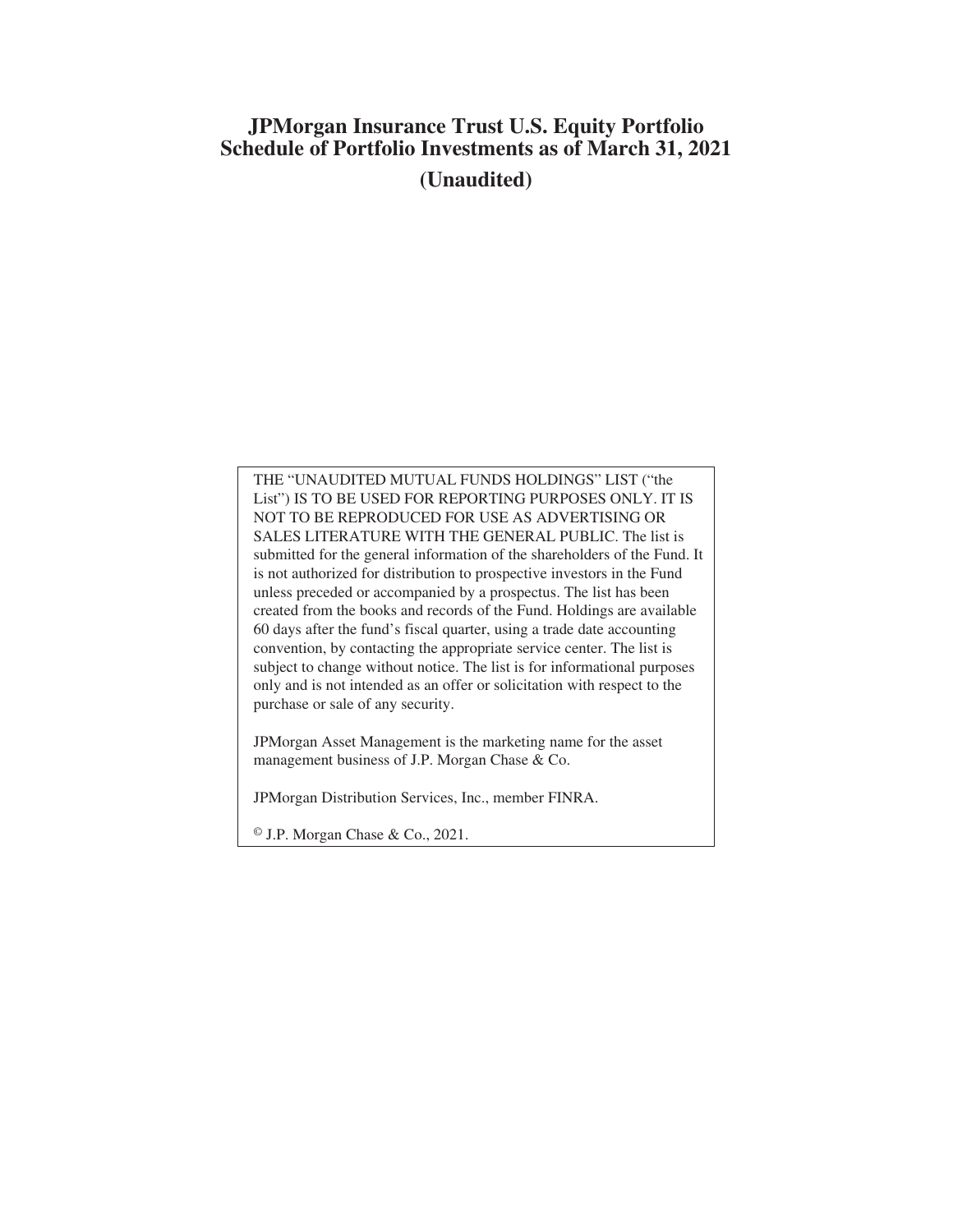# **JPMorgan Insurance Trust U.S. Equity Portfolio Schedule of Portfolio Investments as of March 31, 2021 (Unaudited)**

THE "UNAUDITED MUTUAL FUNDS HOLDINGS" LIST ("the List") IS TO BE USED FOR REPORTING PURPOSES ONLY. IT IS NOT TO BE REPRODUCED FOR USE AS ADVERTISING OR SALES LITERATURE WITH THE GENERAL PUBLIC. The list is submitted for the general information of the shareholders of the Fund. It is not authorized for distribution to prospective investors in the Fund unless preceded or accompanied by a prospectus. The list has been created from the books and records of the Fund. Holdings are available 60 days after the fund's fiscal quarter, using a trade date accounting convention, by contacting the appropriate service center. The list is subject to change without notice. The list is for informational purposes only and is not intended as an offer or solicitation with respect to the purchase or sale of any security.

JPMorgan Asset Management is the marketing name for the asset management business of J.P. Morgan Chase & Co.

JPMorgan Distribution Services, Inc., member FINRA.

© J.P. Morgan Chase & Co., 2021.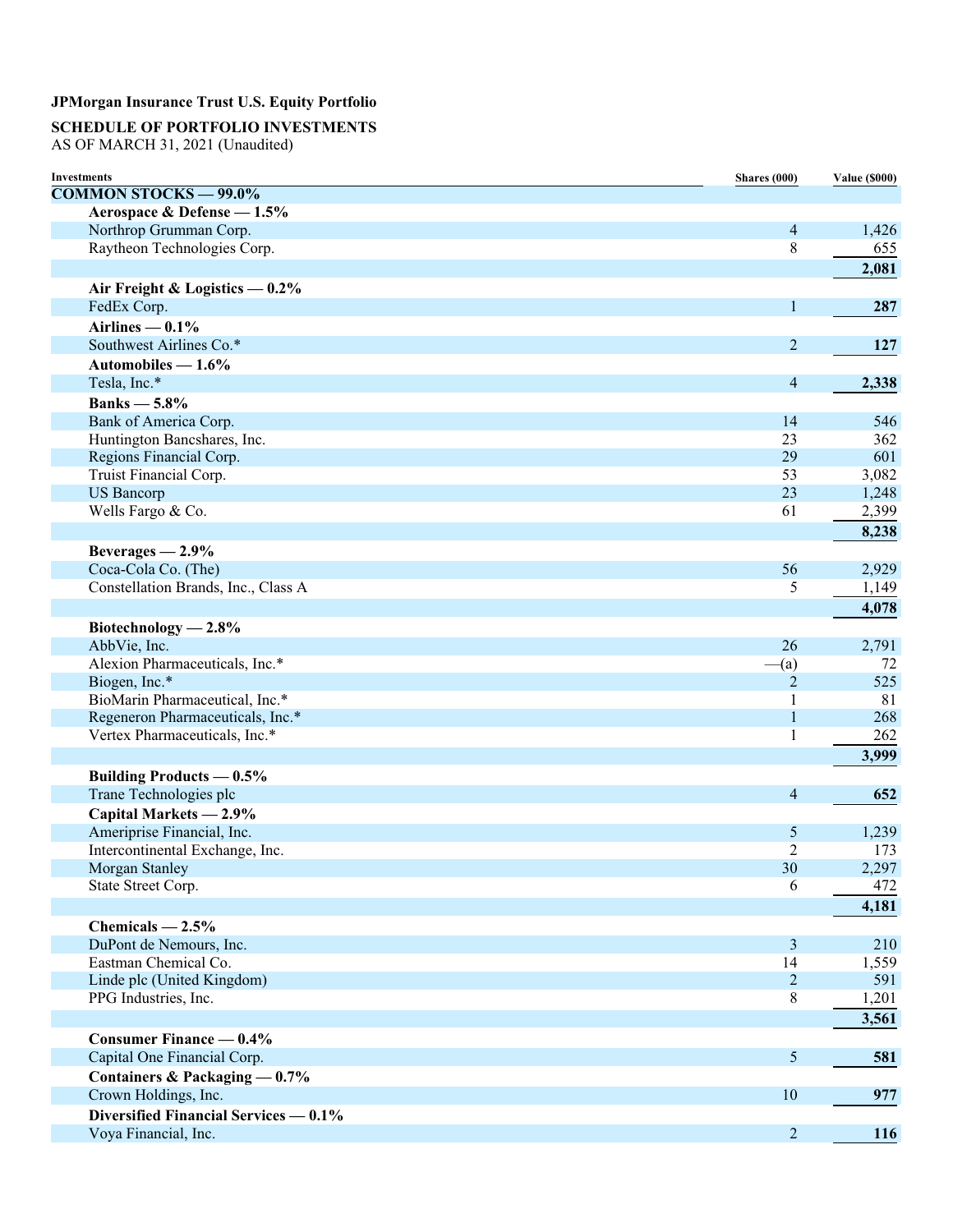## **SCHEDULE OF PORTFOLIO INVESTMENTS**

AS OF MARCH 31, 2021 (Unaudited)

| <b>Investments</b>                    | Shares (000)   | <b>Value (\$000)</b> |
|---------------------------------------|----------------|----------------------|
| <b>COMMON STOCKS - 99.0%</b>          |                |                      |
| Aerospace & Defense - 1.5%            |                |                      |
| Northrop Grumman Corp.                | $\overline{4}$ | 1,426                |
| Raytheon Technologies Corp.           | $\,$ 8 $\,$    | 655                  |
|                                       |                | 2,081                |
| Air Freight & Logistics $-0.2\%$      |                |                      |
| FedEx Corp.                           | 1              | 287                  |
| Airlines $-0.1\%$                     |                |                      |
| Southwest Airlines Co.*               | $\overline{2}$ | 127                  |
| Automobiles $-1.6\%$                  |                |                      |
| Tesla, Inc.*                          | $\overline{4}$ | 2,338                |
| Banks $-5.8\%$                        |                |                      |
| Bank of America Corp.                 | 14             | 546                  |
| Huntington Bancshares, Inc.           | 23             | 362                  |
| Regions Financial Corp.               | 29             | 601                  |
| Truist Financial Corp.                | 53             | 3,082                |
| <b>US</b> Bancorp                     | 23             | 1,248                |
| Wells Fargo & Co.                     | 61             | 2,399                |
|                                       |                | 8,238                |
| Beverages $-2.9\%$                    |                |                      |
| Coca-Cola Co. (The)                   | 56             | 2,929                |
| Constellation Brands, Inc., Class A   | 5              | 1,149                |
|                                       |                | 4,078                |
| Biotechnology $-2.8\%$                |                |                      |
| AbbVie, Inc.                          | 26             | 2,791                |
| Alexion Pharmaceuticals, Inc.*        | $-(a)$         | 72                   |
| Biogen, Inc.*                         | 2              | 525                  |
| BioMarin Pharmaceutical, Inc.*        | 1              | 81                   |
| Regeneron Pharmaceuticals, Inc.*      | $\mathbf{1}$   | 268                  |
| Vertex Pharmaceuticals, Inc.*         | 1              | 262                  |
|                                       |                | 3,999                |
| <b>Building Products — 0.5%</b>       |                |                      |
| Trane Technologies plc                | $\overline{4}$ | 652                  |
| Capital Markets - 2.9%                |                |                      |
| Ameriprise Financial, Inc.            | 5              | 1,239                |
| Intercontinental Exchange, Inc.       | $\overline{2}$ | 173                  |
| Morgan Stanley                        | 30             | 2,297                |
| State Street Corp.                    | 6              | 472                  |
|                                       |                | 4,181                |
| Chemicals $-2.5%$                     |                |                      |
| DuPont de Nemours, Inc.               | $\mathfrak{Z}$ | 210                  |
| Eastman Chemical Co.                  | 14             | 1,559                |
| Linde plc (United Kingdom)            | $\overline{2}$ | 591                  |
| PPG Industries, Inc.                  | 8              | 1,201                |
|                                       |                | 3,561                |
| Consumer Finance $-0.4\%$             |                |                      |
| Capital One Financial Corp.           | 5              | 581                  |
| Containers & Packaging $-0.7%$        |                |                      |
| Crown Holdings, Inc.                  | 10             | 977                  |
| Diversified Financial Services — 0.1% |                |                      |
| Voya Financial, Inc.                  | $\overline{2}$ | 116                  |
|                                       |                |                      |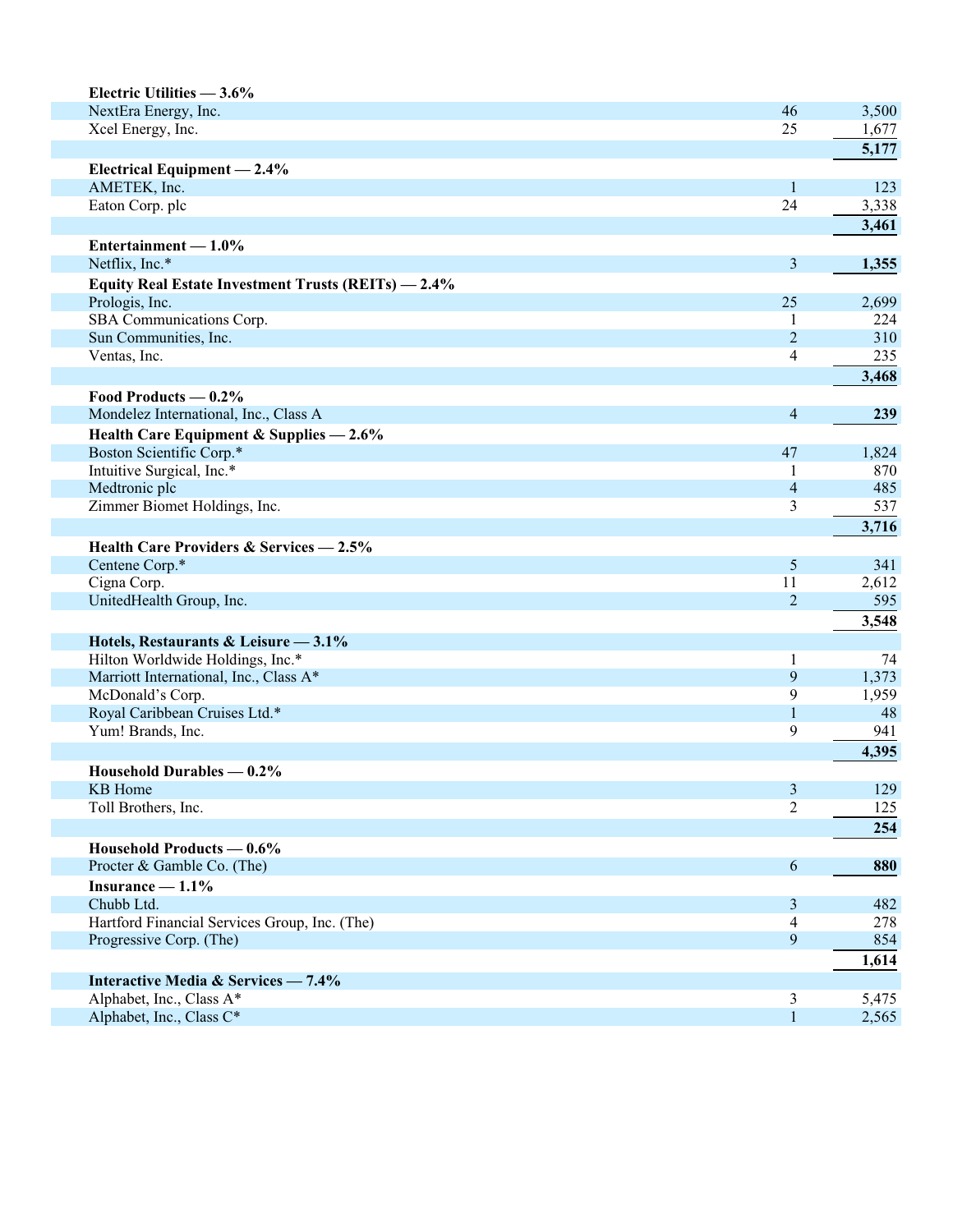| Electric Utilities - 3.6%                           |                         |       |
|-----------------------------------------------------|-------------------------|-------|
| NextEra Energy, Inc.                                | 46                      | 3,500 |
| Xcel Energy, Inc.                                   | 25                      | 1,677 |
|                                                     |                         | 5,177 |
| Electrical Equipment - 2.4%                         |                         |       |
| AMETEK, Inc.                                        | $\mathbf{1}$            | 123   |
| Eaton Corp. plc                                     | 24                      | 3,338 |
|                                                     |                         | 3,461 |
| Entertainment $-1.0\%$                              |                         |       |
| Netflix, Inc.*                                      | $\mathfrak{Z}$          | 1,355 |
| Equity Real Estate Investment Trusts (REITs) - 2.4% |                         |       |
| Prologis, Inc.                                      | 25                      | 2,699 |
| SBA Communications Corp.                            | 1                       | 224   |
| Sun Communities, Inc.                               | $\overline{2}$          | 310   |
| Ventas, Inc.                                        | $\overline{\mathbf{4}}$ | 235   |
|                                                     |                         | 3,468 |
| Food Products $-0.2\%$                              |                         |       |
| Mondelez International, Inc., Class A               | 4                       | 239   |
| Health Care Equipment & Supplies $-2.6\%$           |                         |       |
| Boston Scientific Corp.*                            | 47                      | 1,824 |
| Intuitive Surgical, Inc.*                           | 1                       | 870   |
| Medtronic plc                                       | $\overline{4}$          | 485   |
| Zimmer Biomet Holdings, Inc.                        | 3                       | 537   |
|                                                     |                         | 3,716 |
| Health Care Providers & Services - 2.5%             |                         |       |
| Centene Corp.*                                      | 5                       | 341   |
| Cigna Corp.                                         | 11                      | 2,612 |
| UnitedHealth Group, Inc.                            | $\overline{2}$          | 595   |
|                                                     |                         | 3,548 |
| Hotels, Restaurants & Leisure - 3.1%                |                         |       |
| Hilton Worldwide Holdings, Inc.*                    | 1                       | 74    |
| Marriott International, Inc., Class A*              | 9                       | 1,373 |
| McDonald's Corp.                                    | 9                       | 1,959 |
| Royal Caribbean Cruises Ltd.*                       | 1                       | 48    |
| Yum! Brands, Inc.                                   | 9                       | 941   |
|                                                     |                         | 4,395 |
| Household Durables — 0.2%                           |                         |       |
| <b>KB</b> Home                                      | 3                       | 129   |
| Toll Brothers, Inc.                                 | $\overline{2}$          | 125   |
|                                                     |                         | 254   |
|                                                     |                         |       |
| Household Products — 0.6%                           |                         |       |
| Procter & Gamble Co. (The)                          | 6                       | 880   |
| Insurance $-1.1\%$                                  |                         |       |
| Chubb Ltd.                                          | 3                       | 482   |
| Hartford Financial Services Group, Inc. (The)       | 4                       | 278   |
| Progressive Corp. (The)                             | 9                       | 854   |
|                                                     |                         | 1,614 |
| Interactive Media & Services - 7.4%                 |                         |       |
| Alphabet, Inc., Class A*                            | 3                       | 5,475 |
| Alphabet, Inc., Class C*                            | $\mathbf{1}$            | 2,565 |
|                                                     |                         |       |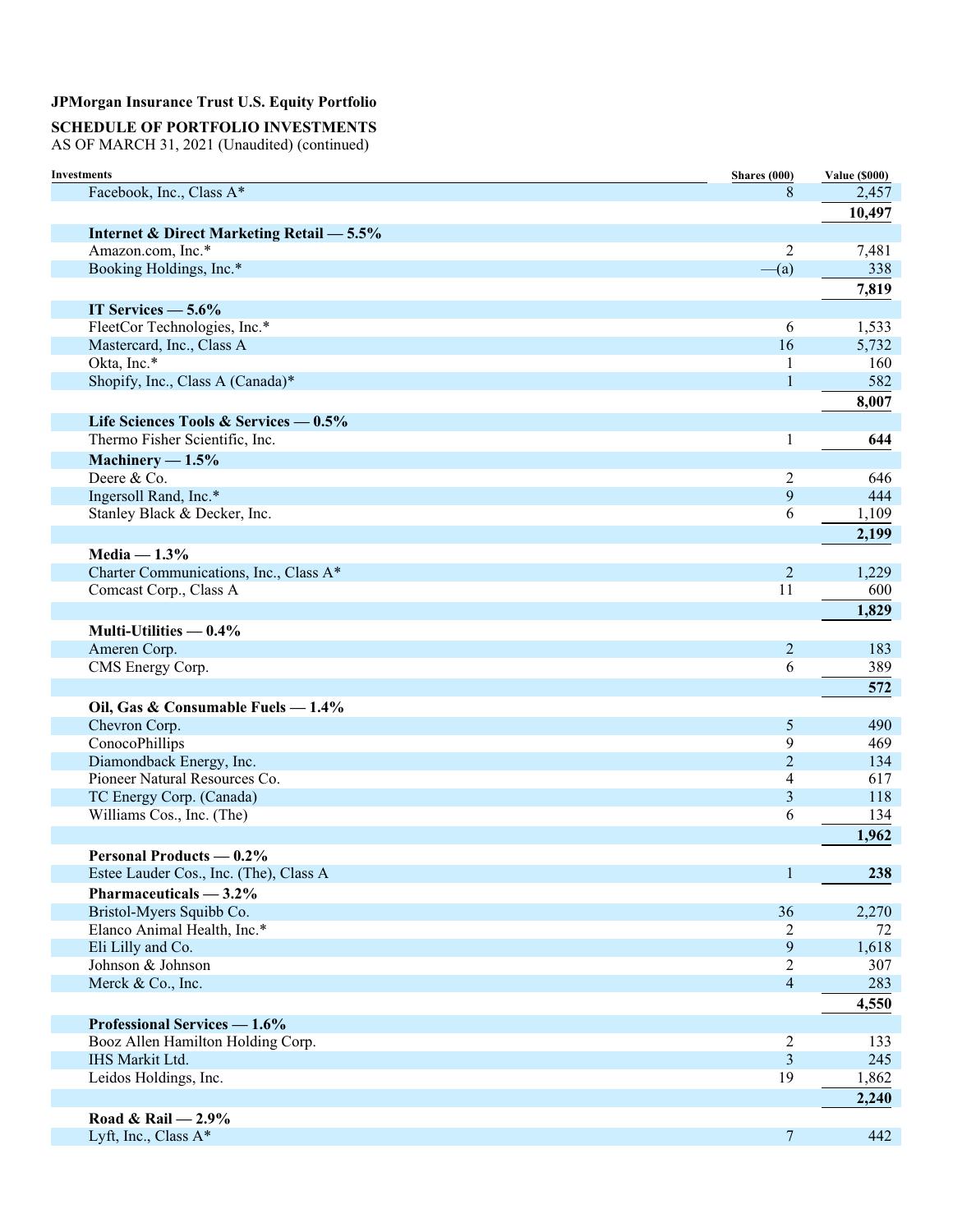## **SCHEDULE OF PORTFOLIO INVESTMENTS**

AS OF MARCH 31, 2021 (Unaudited) (continued)

| <b>Investments</b>                                        | Shares (000)        | <b>Value (\$000)</b> |
|-----------------------------------------------------------|---------------------|----------------------|
| Facebook, Inc., Class A*                                  | 8                   | 2,457                |
|                                                           |                     | 10,497               |
| <b>Internet &amp; Direct Marketing Retail - 5.5%</b>      |                     |                      |
| Amazon.com, Inc.*                                         | 2                   | 7,481                |
| Booking Holdings, Inc.*                                   | $-(a)$              | 338                  |
|                                                           |                     | 7,819                |
| IT Services $-5.6\%$                                      |                     |                      |
| FleetCor Technologies, Inc.*                              | 6                   | 1,533                |
| Mastercard, Inc., Class A                                 | 16                  | 5,732                |
| Okta, Inc.*                                               | 1                   | 160                  |
| Shopify, Inc., Class A (Canada)*                          | $\mathbf{1}$        | 582                  |
|                                                           |                     | 8,007                |
| Life Sciences Tools & Services — 0.5%                     |                     |                      |
| Thermo Fisher Scientific, Inc.                            | 1                   | 644                  |
| Machinery $-1.5%$                                         |                     |                      |
| Deere & Co.                                               | 2                   | 646                  |
| Ingersoll Rand, Inc.*                                     | 9                   | 444                  |
| Stanley Black & Decker, Inc.                              | 6                   | 1,109                |
|                                                           |                     | 2,199                |
| Media $-1.3%$                                             |                     |                      |
| Charter Communications, Inc., Class A*                    | $\overline{2}$      | 1,229                |
| Comcast Corp., Class A                                    | 11                  | 600                  |
|                                                           |                     | 1,829                |
|                                                           |                     |                      |
| Multi-Utilities $-0.4\%$                                  |                     |                      |
| Ameren Corp.<br>CMS Energy Corp.                          | $\overline{2}$<br>6 | 183<br>389           |
|                                                           |                     |                      |
|                                                           |                     | 572                  |
| Oil, Gas & Consumable Fuels - 1.4%                        |                     |                      |
| Chevron Corp.                                             | 5                   | 490                  |
| ConocoPhillips                                            | 9                   | 469                  |
| Diamondback Energy, Inc.<br>Pioneer Natural Resources Co. | $\overline{2}$      | 134<br>617           |
|                                                           | 4                   | 118                  |
| TC Energy Corp. (Canada)<br>Williams Cos., Inc. (The)     | 3<br>6              | 134                  |
|                                                           |                     |                      |
|                                                           |                     | 1,962                |
| <b>Personal Products — 0.2%</b>                           |                     |                      |
| Estee Lauder Cos., Inc. (The), Class A                    | 1                   | 238                  |
| Pharmaceuticals $-3.2\%$                                  |                     |                      |
| Bristol-Myers Squibb Co.                                  | 36                  | 2,270                |
| Elanco Animal Health, Inc.*                               | 2                   | 72                   |
| Eli Lilly and Co.                                         | $\overline{9}$      | 1,618                |
| Johnson & Johnson                                         | 2                   | 307                  |
| Merck & Co., Inc.                                         | $\overline{4}$      | 283                  |
|                                                           |                     | 4,550                |
| Professional Services - 1.6%                              |                     |                      |
| Booz Allen Hamilton Holding Corp.                         | $\overline{2}$      | 133                  |
| IHS Markit Ltd.                                           | 3                   | 245                  |
| Leidos Holdings, Inc.                                     | 19                  | 1,862                |
|                                                           |                     | 2,240                |
| Road & Rail $-2.9\%$                                      |                     |                      |
| Lyft, Inc., Class A*                                      | 7                   | 442                  |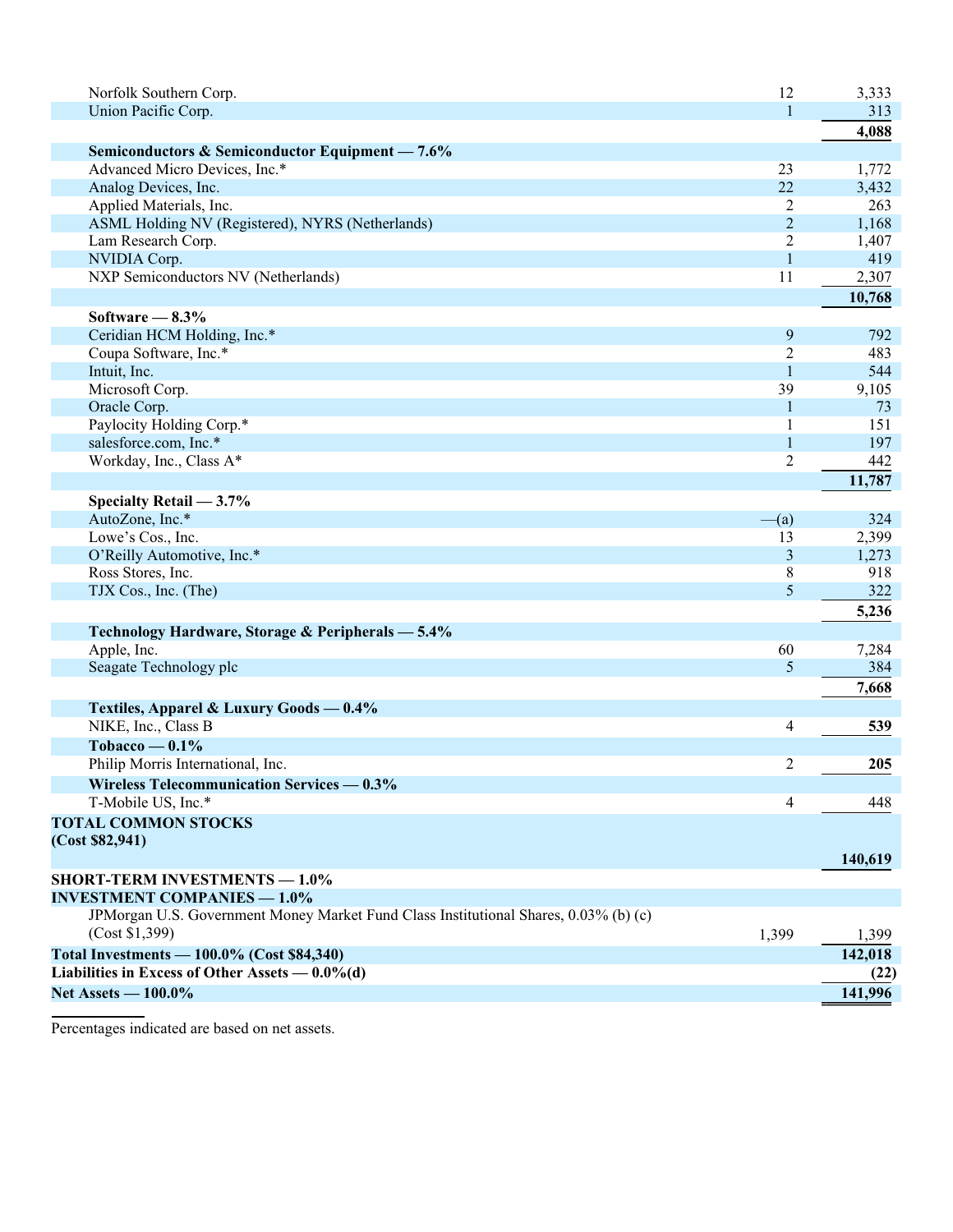| Norfolk Southern Corp.                                                               | 12             | 3,333   |
|--------------------------------------------------------------------------------------|----------------|---------|
| Union Pacific Corp.                                                                  | 1              | 313     |
|                                                                                      |                | 4,088   |
| Semiconductors & Semiconductor Equipment - 7.6%                                      |                |         |
| Advanced Micro Devices, Inc.*                                                        | 23             | 1,772   |
| Analog Devices, Inc.                                                                 | 22             | 3,432   |
| Applied Materials, Inc.                                                              | 2              | 263     |
| ASML Holding NV (Registered), NYRS (Netherlands)                                     | $\overline{2}$ | 1,168   |
| Lam Research Corp.                                                                   | $\overline{2}$ | 1,407   |
| NVIDIA Corp.                                                                         | $\mathbf{1}$   | 419     |
| NXP Semiconductors NV (Netherlands)                                                  | 11             | 2,307   |
|                                                                                      |                | 10,768  |
| Software $-8.3\%$                                                                    |                |         |
| Ceridian HCM Holding, Inc.*                                                          | 9              | 792     |
| Coupa Software, Inc.*                                                                | 2              | 483     |
| Intuit, Inc.                                                                         | 1              | 544     |
| Microsoft Corp.                                                                      | 39             | 9,105   |
| Oracle Corp.                                                                         | 1              | 73      |
| Paylocity Holding Corp.*                                                             | 1              | 151     |
| salesforce.com, Inc.*                                                                | $\mathbf{1}$   | 197     |
| Workday, Inc., Class A*                                                              | $\overline{c}$ | 442     |
|                                                                                      |                | 11,787  |
| Specialty Retail $-3.7%$                                                             |                |         |
| AutoZone, Inc.*                                                                      | $-(a)$         | 324     |
| Lowe's Cos., Inc.                                                                    | 13             | 2,399   |
| O'Reilly Automotive, Inc.*                                                           | 3              | 1,273   |
| Ross Stores, Inc.                                                                    | 8              | 918     |
| TJX Cos., Inc. (The)                                                                 | 5              | 322     |
|                                                                                      |                | 5,236   |
|                                                                                      |                |         |
| Technology Hardware, Storage & Peripherals - 5.4%                                    |                |         |
| Apple, Inc.                                                                          | 60<br>5        | 7,284   |
| Seagate Technology plc                                                               |                | 384     |
|                                                                                      |                | 7,668   |
| Textiles, Apparel & Luxury Goods - 0.4%                                              |                |         |
| NIKE, Inc., Class B                                                                  | 4              | 539     |
| Tobacco — $0.1\%$                                                                    |                |         |
| Philip Morris International, Inc.                                                    | 2              | 205     |
| Wireless Telecommunication Services — 0.3%                                           |                |         |
| T-Mobile US, Inc.*                                                                   | 4              | 448     |
| <b>TOTAL COMMON STOCKS</b>                                                           |                |         |
| (Cost \$82,941)                                                                      |                |         |
|                                                                                      |                | 140,619 |
| <b>SHORT-TERM INVESTMENTS - 1.0%</b>                                                 |                |         |
| <b>INVESTMENT COMPANIES - 1.0%</b>                                                   |                |         |
| JPMorgan U.S. Government Money Market Fund Class Institutional Shares, 0.03% (b) (c) |                |         |
| (Cost \$1,399)                                                                       | 1,399          | 1,399   |
| Total Investments - 100.0% (Cost \$84,340)                                           |                | 142,018 |
| Liabilities in Excess of Other Assets $-0.0\%$ (d)                                   |                | (22)    |
| Net Assets - 100.0%                                                                  |                | 141,996 |

Percentages indicated are based on net assets.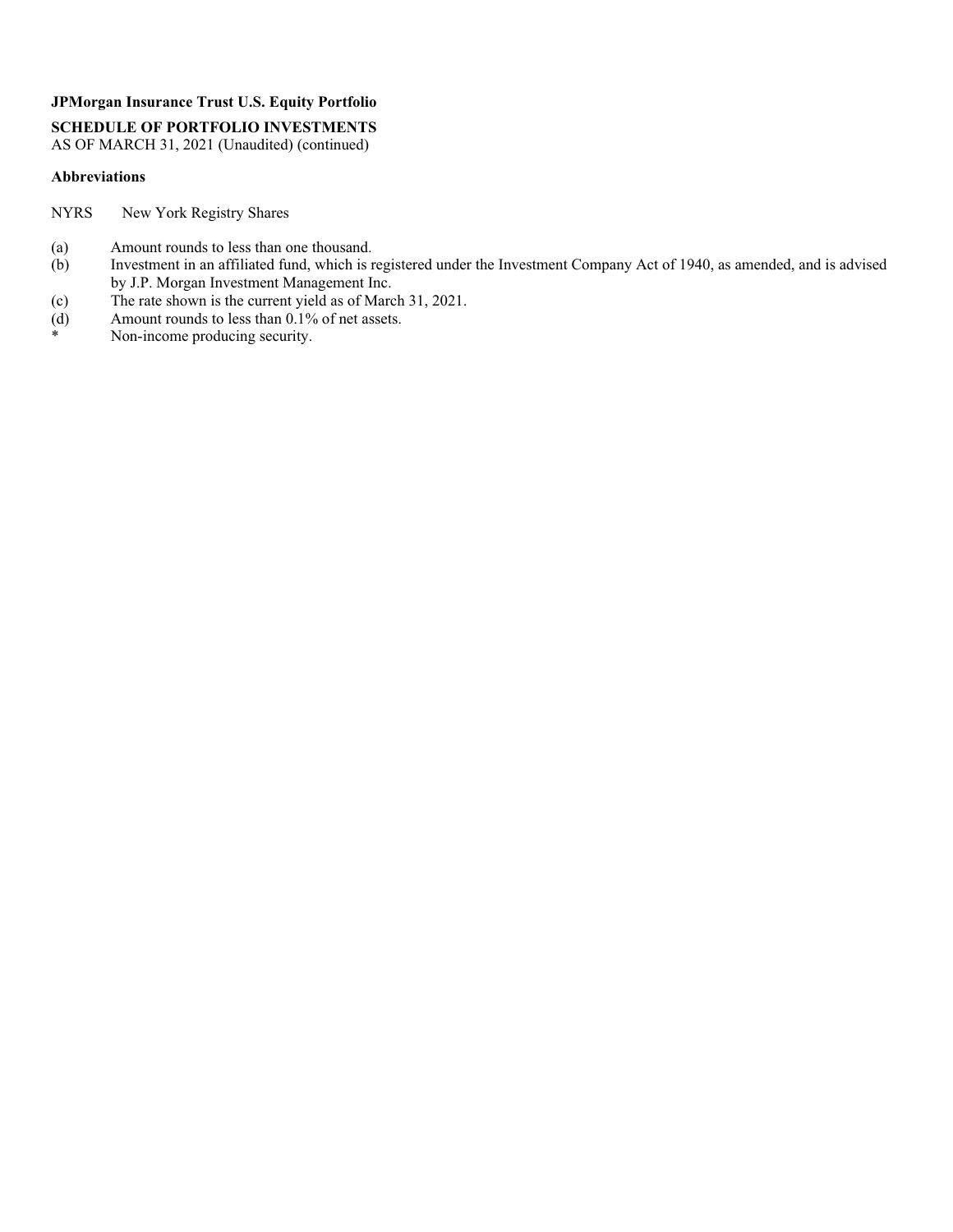**SCHEDULE OF PORTFOLIO INVESTMENTS** 

AS OF MARCH 31, 2021 (Unaudited) (continued)

#### **Abbreviations**

NYRS New York Registry Shares

- (a) Amount rounds to less than one thousand.
- (b) Investment in an affiliated fund, which is registered under the Investment Company Act of 1940, as amended, and is advised by J.P. Morgan Investment Management Inc.
- (c) The rate shown is the current yield as of March 31, 2021.<br>(d) Amount rounds to less than  $0.1\%$  of net assets.
- (d) Amount rounds to less than  $0.1\%$  of net assets.<br>
Non-income producing security
- Non-income producing security.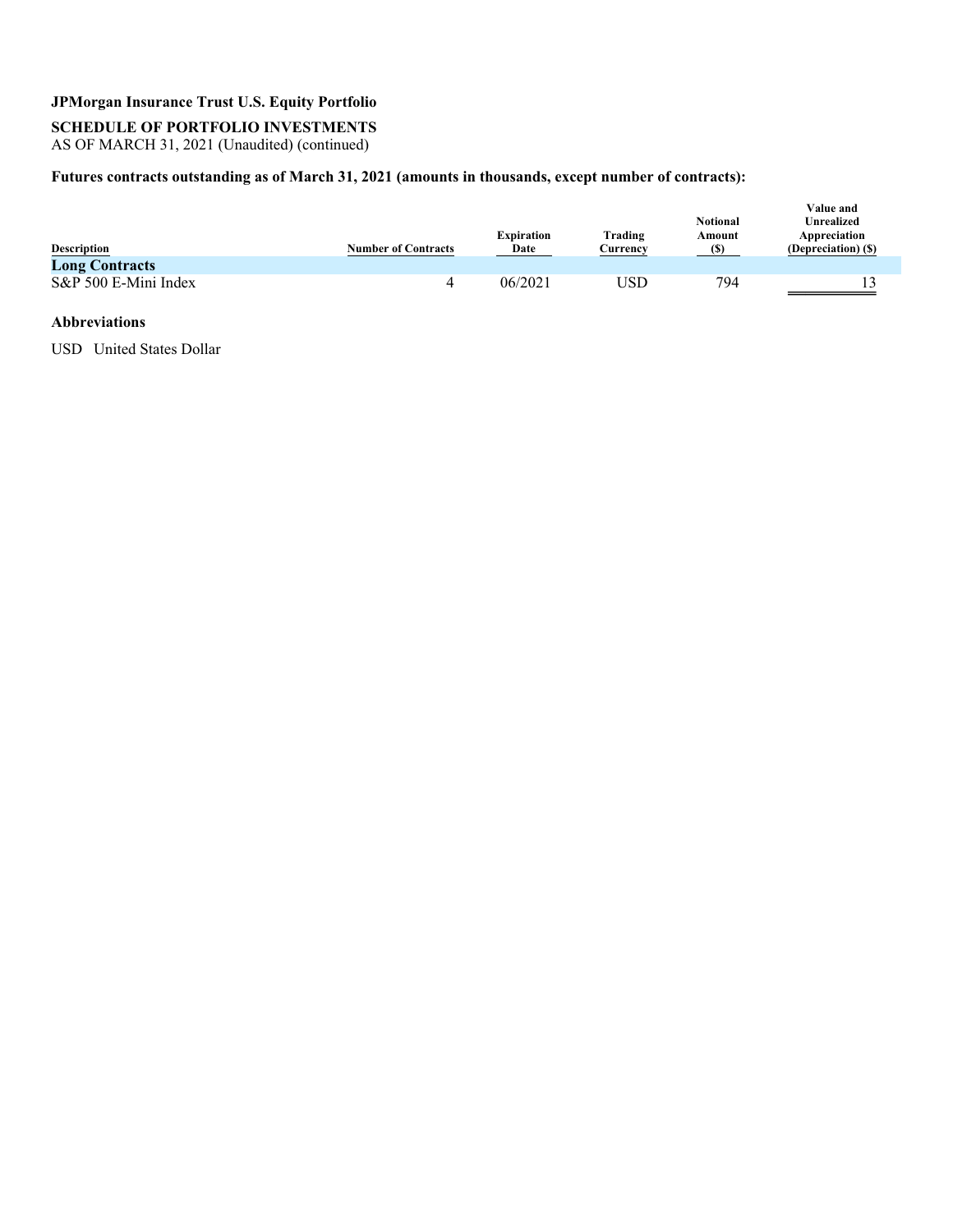**SCHEDULE OF PORTFOLIO INVESTMENTS** 

AS OF MARCH 31, 2021 (Unaudited) (continued)

### **Futures contracts outstanding as of March 31, 2021 (amounts in thousands, except number of contracts):**

| <b>Description</b><br><b>Long Contracts</b> | <b>Number of Contracts</b> | <b>Expiration</b><br>Date | Trading<br>Currencv | <b>Notional</b><br>Amount<br><b>(S)</b> | <b>Value and</b><br><b>Unrealized</b><br>Appreciation<br>(Depreciation) (\$) |
|---------------------------------------------|----------------------------|---------------------------|---------------------|-----------------------------------------|------------------------------------------------------------------------------|
| S&P 500 E-Mini Index                        | 4                          | 06/2021                   | JSD                 | 794                                     |                                                                              |

#### **Abbreviations**

USD United States Dollar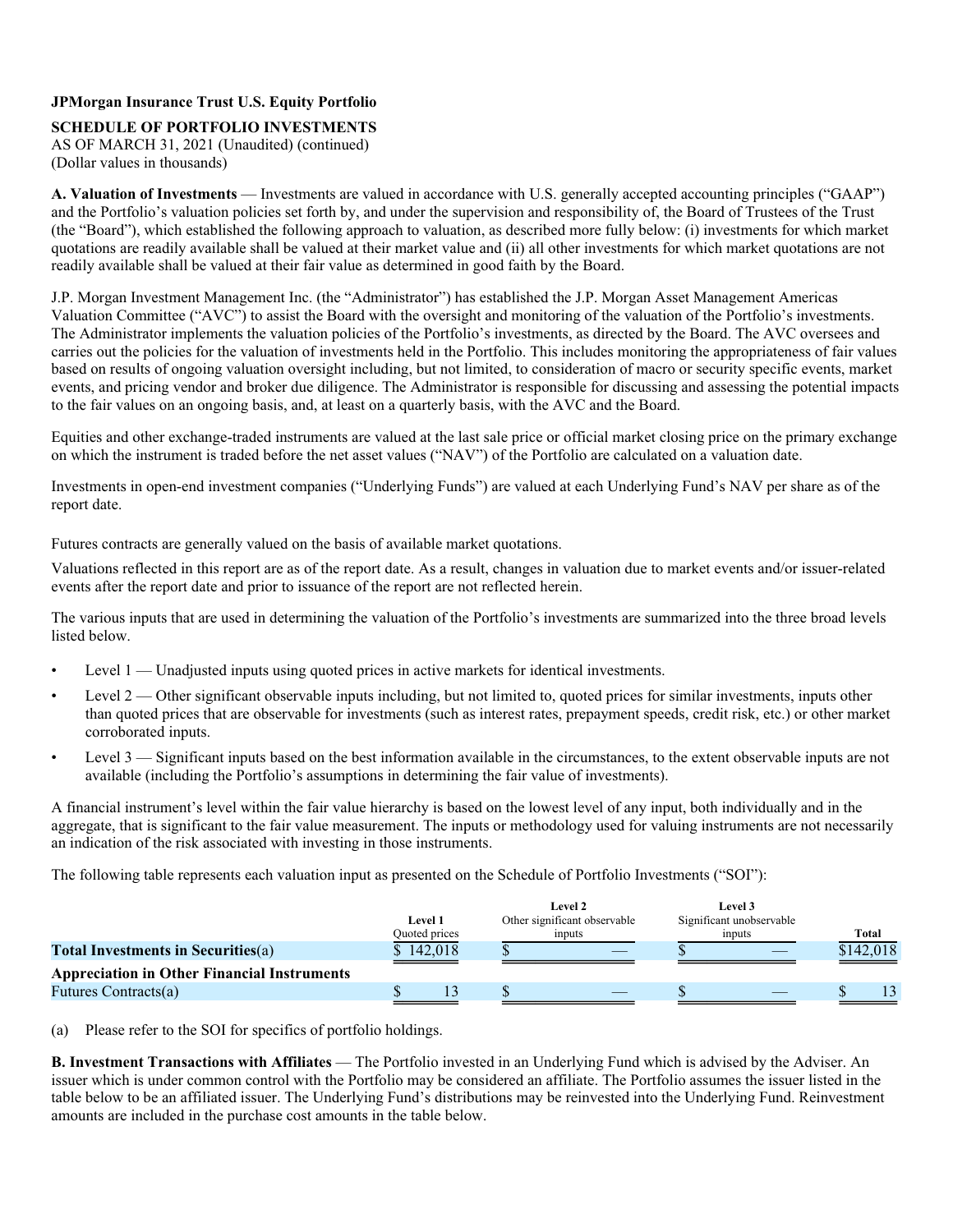## **SCHEDULE OF PORTFOLIO INVESTMENTS**

AS OF MARCH 31, 2021 (Unaudited) (continued) (Dollar values in thousands)

**A. Valuation of Investments** — Investments are valued in accordance with U.S. generally accepted accounting principles ("GAAP") and the Portfolio's valuation policies set forth by, and under the supervision and responsibility of, the Board of Trustees of the Trust (the "Board"), which established the following approach to valuation, as described more fully below: (i) investments for which market quotations are readily available shall be valued at their market value and (ii) all other investments for which market quotations are not readily available shall be valued at their fair value as determined in good faith by the Board.

J.P. Morgan Investment Management Inc. (the "Administrator") has established the J.P. Morgan Asset Management Americas Valuation Committee ("AVC") to assist the Board with the oversight and monitoring of the valuation of the Portfolio's investments. The Administrator implements the valuation policies of the Portfolio's investments, as directed by the Board. The AVC oversees and carries out the policies for the valuation of investments held in the Portfolio. This includes monitoring the appropriateness of fair values based on results of ongoing valuation oversight including, but not limited, to consideration of macro or security specific events, market events, and pricing vendor and broker due diligence. The Administrator is responsible for discussing and assessing the potential impacts to the fair values on an ongoing basis, and, at least on a quarterly basis, with the AVC and the Board.

Equities and other exchange-traded instruments are valued at the last sale price or official market closing price on the primary exchange on which the instrument is traded before the net asset values ("NAV") of the Portfolio are calculated on a valuation date.

Investments in open-end investment companies ("Underlying Funds") are valued at each Underlying Fund's NAV per share as of the report date.

Futures contracts are generally valued on the basis of available market quotations.

Valuations reflected in this report are as of the report date. As a result, changes in valuation due to market events and/or issuer-related events after the report date and prior to issuance of the report are not reflected herein.

The various inputs that are used in determining the valuation of the Portfolio's investments are summarized into the three broad levels listed below.

- Level 1 Unadjusted inputs using quoted prices in active markets for identical investments.
- Level 2 Other significant observable inputs including, but not limited to, quoted prices for similar investments, inputs other than quoted prices that are observable for investments (such as interest rates, prepayment speeds, credit risk, etc.) or other market corroborated inputs.
- Level 3 Significant inputs based on the best information available in the circumstances, to the extent observable inputs are not available (including the Portfolio's assumptions in determining the fair value of investments).

A financial instrument's level within the fair value hierarchy is based on the lowest level of any input, both individually and in the aggregate, that is significant to the fair value measurement. The inputs or methodology used for valuing instruments are not necessarily an indication of the risk associated with investing in those instruments.

The following table represents each valuation input as presented on the Schedule of Portfolio Investments ("SOI"):

|                                                    | Level 1<br>Quoted prices |  | Level 2<br>Other significant observable<br>inputs |  | Level 3<br>Significant unobservable<br>inputs | Total     |
|----------------------------------------------------|--------------------------|--|---------------------------------------------------|--|-----------------------------------------------|-----------|
| <b>Total Investments in Securities(a)</b>          | \$142,018                |  |                                                   |  |                                               | \$142,018 |
| <b>Appreciation in Other Financial Instruments</b> |                          |  |                                                   |  |                                               |           |
| Futures Contracts(a)                               |                          |  |                                                   |  |                                               |           |
|                                                    |                          |  |                                                   |  |                                               |           |

(a) Please refer to the SOI for specifics of portfolio holdings.

**B. Investment Transactions with Affiliates** — The Portfolio invested in an Underlying Fund which is advised by the Adviser. An issuer which is under common control with the Portfolio may be considered an affiliate. The Portfolio assumes the issuer listed in the table below to be an affiliated issuer. The Underlying Fund's distributions may be reinvested into the Underlying Fund. Reinvestment amounts are included in the purchase cost amounts in the table below.